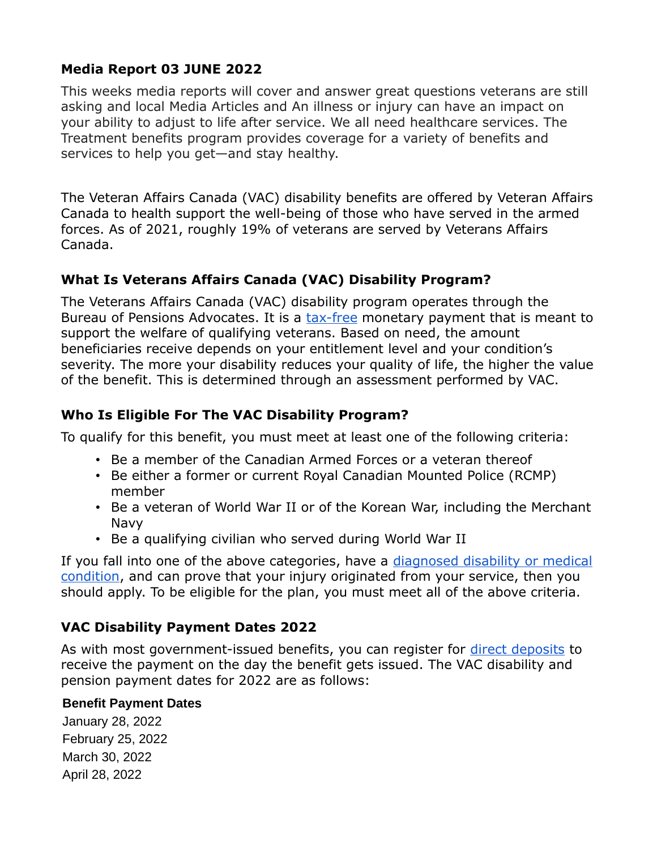# **Media Report 03 JUNE 2022**

This weeks media reports will cover and answer great questions veterans are still asking and local Media Articles and An illness or injury can have an impact on your ability to adjust to life after service. We all need healthcare services. The Treatment benefits program provides coverage for a variety of benefits and services to help you get—and stay healthy.

The Veteran Affairs Canada (VAC) disability benefits are offered by Veteran Affairs Canada to health support the well-being of those who have served in the armed forces. As of 2021, roughly 19% of veterans are served by Veterans Affairs Canada.

# **What Is Veterans Affairs Canada (VAC) Disability Program?**

The Veterans Affairs Canada (VAC) disability program operates through the Bureau of Pensions Advocates. It is a [tax-free](https://loanscanada.ca/taxes/when-can-i-file-my-taxes-in-canada/) monetary payment that is meant to support the welfare of qualifying veterans. Based on need, the amount beneficiaries receive depends on your entitlement level and your condition's severity. The more your disability reduces your quality of life, the higher the value of the benefit. This is determined through an assessment performed by VAC.

#### **Who Is Eligible For The VAC Disability Program?**

To qualify for this benefit, you must meet at least one of the following criteria:

- Be a member of the Canadian Armed Forces or a veteran thereof
- Be either a former or current Royal Canadian Mounted Police (RCMP) member
- Be a veteran of World War II or of the Korean War, including the Merchant Navy
- Be a qualifying civilian who served during World War II

If you fall into one of the above categories, have a [diagnosed disability or medical](https://loanscanada.ca/taxes/how-to-qualify-for-the-disability-tax-credit/) [condition,](https://loanscanada.ca/taxes/how-to-qualify-for-the-disability-tax-credit/) and can prove that your injury originated from your service, then you should apply. To be eligible for the plan, you must meet all of the above criteria.

# **VAC Disability Payment Dates 2022**

As with most government-issued benefits, you can register for [direct deposits](https://loanscanada.ca/banking/what-is-direct-deposit/) to receive the payment on the day the benefit gets issued. The VAC disability and pension payment dates for 2022 are as follows:

#### **Benefit Payment Dates**

January 28, 2022 February 25, 2022 March 30, 2022 April 28, 2022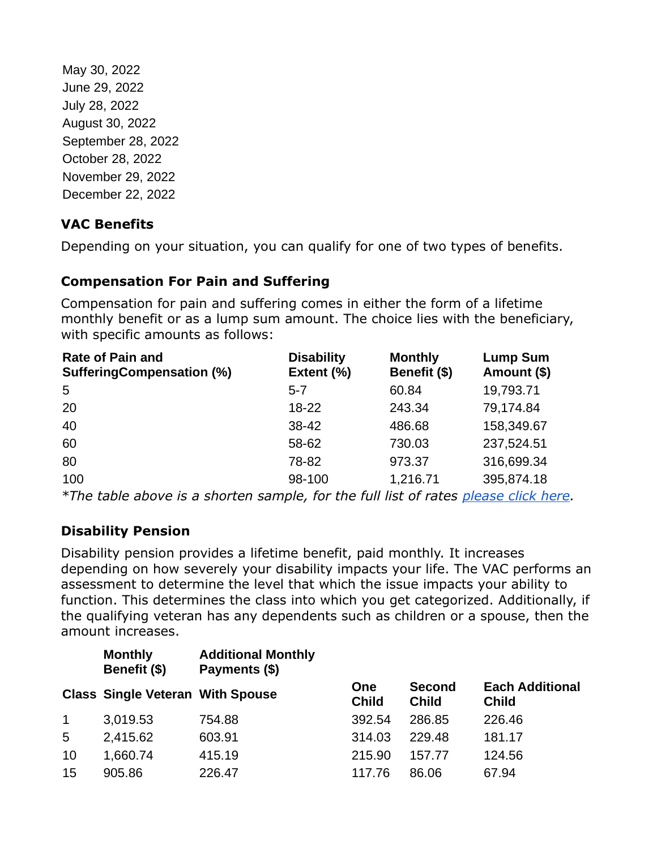May 30, 2022 June 29, 2022 July 28, 2022 August 30, 2022 September 28, 2022 October 28, 2022 November 29, 2022 December 22, 2022

# **VAC Benefits**

Depending on your situation, you can qualify for one of two types of benefits.

# **Compensation For Pain and Suffering**

Compensation for pain and suffering comes in either the form of a lifetime monthly benefit or as a lump sum amount. The choice lies with the beneficiary, with specific amounts as follows:

| <b>Rate of Pain and</b><br><b>SufferingCompensation (%)</b> | <b>Disability</b><br>Extent (%) | <b>Monthly</b><br>Benefit (\$) | <b>Lump Sum</b><br>Amount (\$) |
|-------------------------------------------------------------|---------------------------------|--------------------------------|--------------------------------|
| 5                                                           | $5 - 7$                         | 60.84                          | 19,793.71                      |
| 20                                                          | $18 - 22$                       | 243.34                         | 79,174.84                      |
| 40                                                          | 38-42                           | 486.68                         | 158,349.67                     |
| 60                                                          | 58-62                           | 730.03                         | 237,524.51                     |
| 80                                                          | 78-82                           | 973.37                         | 316,699.34                     |
| 100                                                         | 98-100                          | 1,216.71                       | 395,874.18                     |
|                                                             |                                 |                                |                                |

*\*The table above is a shorten sample, for the full list of rates [please click here.](https://duyxryp8txy49.cloudfront.net/pdf/resources/rates/psc-2022.pdf)*

# **Disability Pension**

Disability pension provides a lifetime benefit, paid monthly. It increases depending on how severely your disability impacts your life. The VAC performs an assessment to determine the level that which the issue impacts your ability to function. This determines the class into which you get categorized. Additionally, if the qualifying veteran has any dependents such as children or a spouse, then the amount increases.

|             | <b>Monthly</b><br>Benefit (\$)          | <b>Additional Monthly</b><br>Payments (\$) |                            |                               |                                        |
|-------------|-----------------------------------------|--------------------------------------------|----------------------------|-------------------------------|----------------------------------------|
|             | <b>Class Single Veteran With Spouse</b> |                                            | <b>One</b><br><b>Child</b> | <b>Second</b><br><b>Child</b> | <b>Each Additional</b><br><b>Child</b> |
| $\mathbf 1$ | 3,019.53                                | 754.88                                     | 392.54                     | 286.85                        | 226.46                                 |
| 5           | 2,415.62                                | 603.91                                     | 314.03                     | 229.48                        | 181.17                                 |
| 10          | 1,660.74                                | 415.19                                     | 215.90                     | 157.77                        | 124.56                                 |
| 15          | 905.86                                  | 226.47                                     | 117.76                     | 86.06                         | 67.94                                  |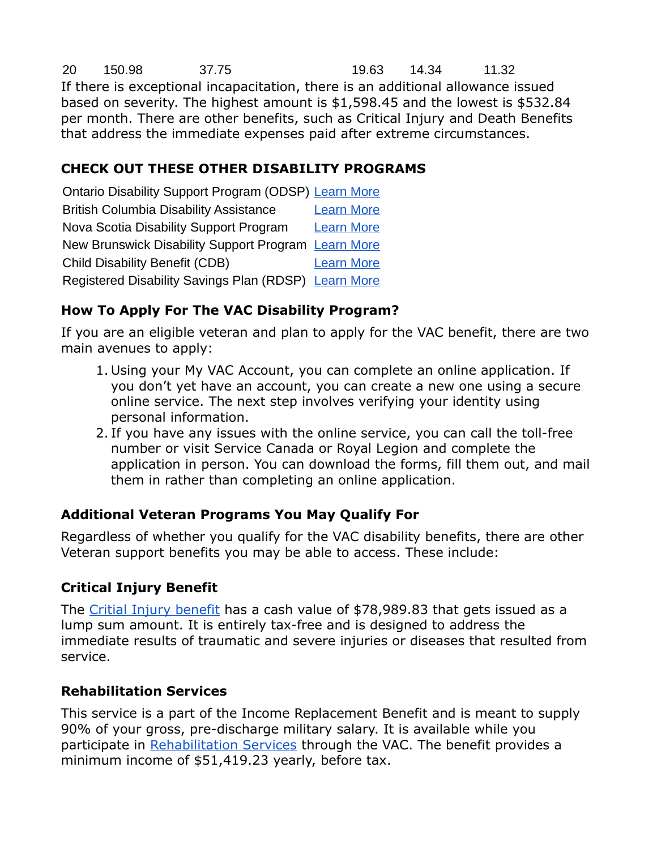20 150.98 37.75 19.63 14.34 11.32 If there is exceptional incapacitation, there is an additional allowance issued based on severity. The highest amount is \$1,598.45 and the lowest is \$532.84 per month. There are other benefits, such as Critical Injury and Death Benefits that address the immediate expenses paid after extreme circumstances.

# **CHECK OUT THESE OTHER DISABILITY PROGRAMS**

Ontario Disability Support Program (ODSP) [Learn More](https://loanscanada.ca/government-benefits/ontario-disability-support-program-odsp-payment-dates/) British Columbia Disability Assistance [Learn More](https://loanscanada.ca/government-benefits/bc-disability-assistance/) Nova Scotia Disability Support Program [Learn More](https://loanscanada.ca/government-benefits/disability-support-program-nova-scotia/) New Brunswick Disability Support Program [Learn More](https://loanscanada.ca/government-benefits/new-brunswick-disability-support-program/) Child Disability Benefit (CDB) [Learn More](https://loanscanada.ca/government-benefits/how-to-apply-for-the-child-disability-benefit-cdb/) Registered Disability Savings Plan (RDSP) [Learn More](https://loanscanada.ca/government-benefits/what-is-the-registered-disability-savings-plan/)

#### **How To Apply For The VAC Disability Program?**

If you are an eligible veteran and plan to apply for the VAC benefit, there are two main avenues to apply:

- 1. Using your My VAC Account, you can complete an online application. If you don't yet have an account, you can create a new one using a secure online service. The next step involves verifying your identity using personal information.
- 2. If you have any issues with the online service, you can call the toll-free number or visit Service Canada or Royal Legion and complete the application in person. You can download the forms, fill them out, and mail them in rather than completing an online application.

# **Additional Veteran Programs You May Qualify For**

Regardless of whether you qualify for the VAC disability benefits, there are other Veteran support benefits you may be able to access. These include:

# **Critical Injury Benefit**

The [Critial Injury benefit](https://www.veterans.gc.ca/eng/financial-support/compensation-illness-injury/critical-injury-benefit) has a cash value of \$78,989.83 that gets issued as a lump sum amount. It is entirely tax-free and is designed to address the immediate results of traumatic and severe injuries or diseases that resulted from service.

# **Rehabilitation Services**

This service is a part of the Income Replacement Benefit and is meant to supply 90% of your gross, pre-discharge military salary. It is available while you participate in [Rehabilitation Services](https://www.veterans.gc.ca/eng/health-support/physical-health-and-wellness/rehabilitation-services) through the VAC. The benefit provides a minimum income of \$51,419.23 yearly, before tax.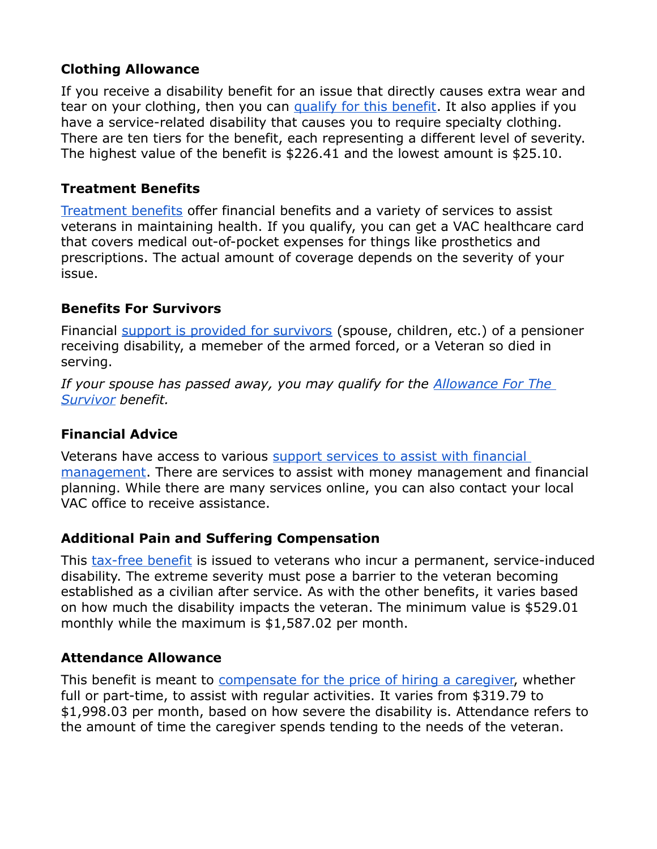#### **Clothing Allowance**

If you receive a disability benefit for an issue that directly causes extra wear and tear on your clothing, then you can [qualify for this benefit.](https://www.veterans.gc.ca/eng/health-support/physical-health-and-wellness/compensation-illness-injury/clothing-allowance) It also applies if you have a service-related disability that causes you to require specialty clothing. There are ten tiers for the benefit, each representing a different level of severity. The highest value of the benefit is \$226.41 and the lowest amount is \$25.10.

#### **Treatment Benefits**

[Treatment benefits](https://www.veterans.gc.ca/eng/financial-support/medical-costs/treatment-benefits) offer financial benefits and a variety of services to assist veterans in maintaining health. If you qualify, you can get a VAC healthcare card that covers medical out-of-pocket expenses for things like prosthetics and prescriptions. The actual amount of coverage depends on the severity of your issue.

#### **Benefits For Survivors**

Financial [support is provided for survivors](https://www.veterans.gc.ca/eng/family-caregiver/death-and-bereavement) (spouse, children, etc.) of a pensioner receiving disability, a memeber of the armed forced, or a Veteran so died in serving.

*If your spouse has passed away, you may qualify for the [Allowance For The](https://loanscanada.ca/taxes/tax-considerations-for-seniors/)  [Survivor](https://loanscanada.ca/taxes/tax-considerations-for-seniors/) benefit.*

#### **Financial Advice**

Veterans have access to various support services to assist with financial [management.](https://www.veterans.gc.ca/eng/financial-support/financial-planning/financial-advice) There are services to assist with money management and financial planning. While there are many services online, you can also contact your local VAC office to receive assistance.

#### **Additional Pain and Suffering Compensation**

This [tax-free benefit](https://www.veterans.gc.ca/eng/financial-support/income-support/additional-pain-suffering) is issued to veterans who incur a permanent, service-induced disability. The extreme severity must pose a barrier to the veteran becoming established as a civilian after service. As with the other benefits, it varies based on how much the disability impacts the veteran. The minimum value is \$529.01 monthly while the maximum is \$1,587.02 per month.

#### **Attendance Allowance**

This benefit is meant to [compensate for the price of hiring a caregiver,](https://www.veterans.gc.ca/eng/health-support/physical-health-and-wellness/compensation-illness-injury/attendance-allowance) whether full or part-time, to assist with regular activities. It varies from \$319.79 to \$1,998.03 per month, based on how severe the disability is. Attendance refers to the amount of time the caregiver spends tending to the needs of the veteran.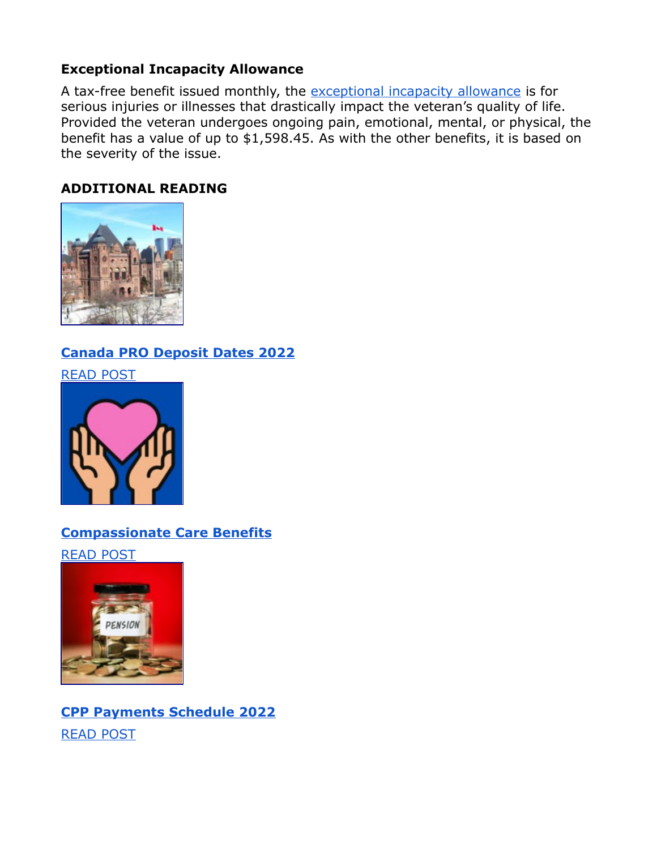#### **Exceptional Incapacity Allowance**

A tax-free benefit issued monthly, the [exceptional incapacity allowance](https://www.veterans.gc.ca/eng/health-support/physical-health-and-wellness/compensation-illness-injury/exceptional-incapacity-allowance) is for serious injuries or illnesses that drastically impact the veteran's quality of life. Provided the veteran undergoes ongoing pain, emotional, mental, or physical, the benefit has a value of up to \$1,598.45. As with the other benefits, it is based on the severity of the issue.

#### **ADDITIONAL READING**



# **[Canada PRO Deposit Dates 2022](https://loanscanada.ca/government-benefits/canada-pro-deposit-dates/)**

[READ POST](https://loanscanada.ca/government-benefits/canada-pro-deposit-dates/)



# **[Compassionate Care Benefits](https://loanscanada.ca/government-benefits/compassionate-care-benefits/)**

[READ POST](https://loanscanada.ca/government-benefits/compassionate-care-benefits/)



# **[CPP Payments Schedule 2022](https://loanscanada.ca/government-benefits/cpp-payments-schedule/)** [READ POST](https://loanscanada.ca/government-benefits/cpp-payments-schedule/)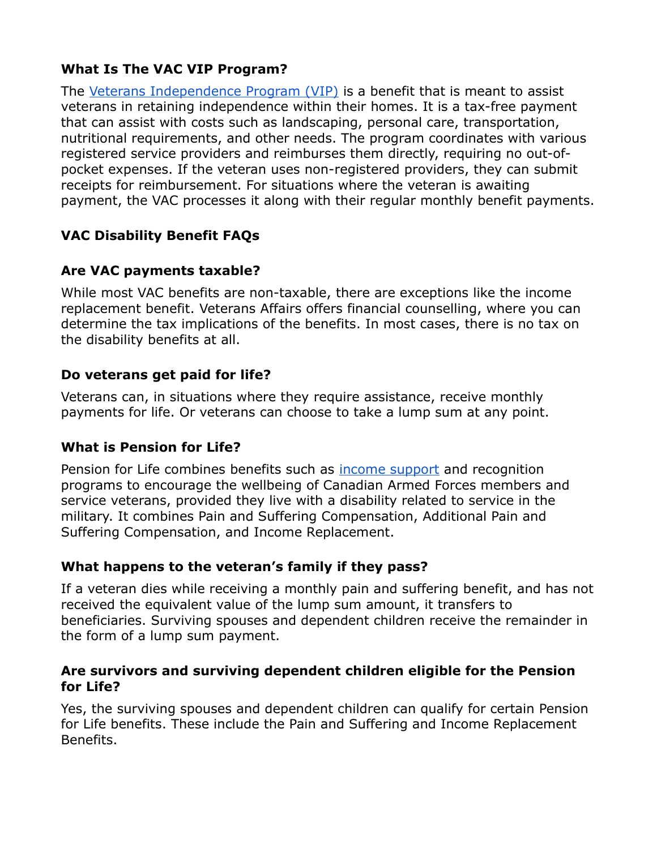# **What Is The VAC VIP Program?**

The [Veterans Independence Program \(VIP\)](https://www.veterans.gc.ca/eng/housing-and-home-life/help-at-home/veterans-independence-program) is a benefit that is meant to assist veterans in retaining independence within their homes. It is a tax-free payment that can assist with costs such as landscaping, personal care, transportation, nutritional requirements, and other needs. The program coordinates with various registered service providers and reimburses them directly, requiring no out-ofpocket expenses. If the veteran uses non-registered providers, they can submit receipts for reimbursement. For situations where the veteran is awaiting payment, the VAC processes it along with their regular monthly benefit payments.

# **VAC Disability Benefit FAQs**

# **Are VAC payments taxable?**

While most VAC benefits are non-taxable, there are exceptions like the income replacement benefit. Veterans Affairs offers financial counselling, where you can determine the tax implications of the benefits. In most cases, there is no tax on the disability benefits at all.

#### **Do veterans get paid for life?**

Veterans can, in situations where they require assistance, receive monthly payments for life. Or veterans can choose to take a lump sum at any point.

# **What is Pension for Life?**

Pension for Life combines benefits such as **[income support](https://loanscanada.ca/government-benefits/)** and recognition programs to encourage the wellbeing of Canadian Armed Forces members and service veterans, provided they live with a disability related to service in the military. It combines Pain and Suffering Compensation, Additional Pain and Suffering Compensation, and Income Replacement.

#### **What happens to the veteran's family if they pass?**

If a veteran dies while receiving a monthly pain and suffering benefit, and has not received the equivalent value of the lump sum amount, it transfers to beneficiaries. Surviving spouses and dependent children receive the remainder in the form of a lump sum payment.

#### **Are survivors and surviving dependent children eligible for the Pension for Life?**

Yes, the surviving spouses and dependent children can qualify for certain Pension for Life benefits. These include the Pain and Suffering and Income Replacement Benefits.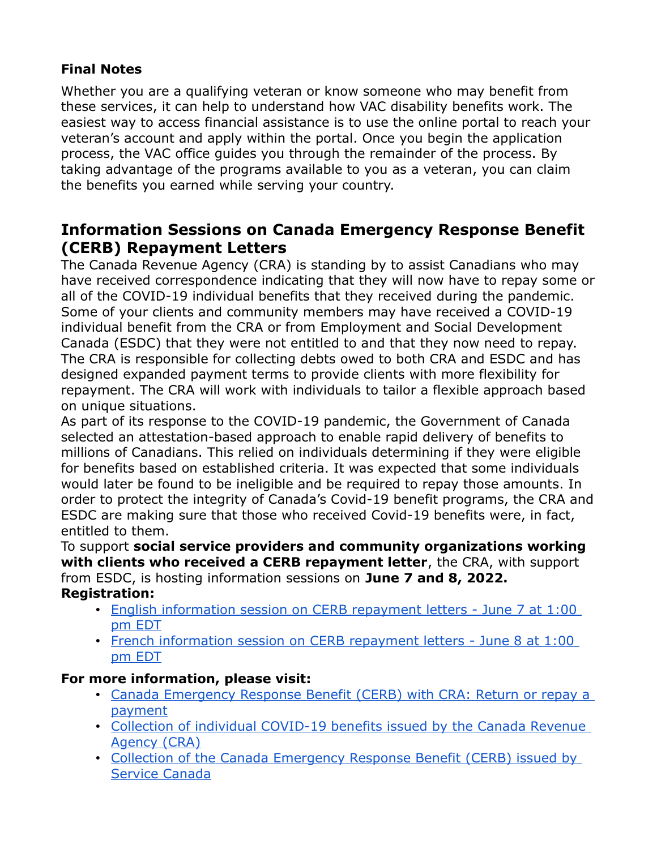# **Final Notes**

Whether you are a qualifying veteran or know someone who may benefit from these services, it can help to understand how VAC disability benefits work. The easiest way to access financial assistance is to use the online portal to reach your veteran's account and apply within the portal. Once you begin the application process, the VAC office guides you through the remainder of the process. By taking advantage of the programs available to you as a veteran, you can claim the benefits you earned while serving your country.

# **Information Sessions on Canada Emergency Response Benefit (CERB) Repayment Letters**

The Canada Revenue Agency (CRA) is standing by to assist Canadians who may have received correspondence indicating that they will now have to repay some or all of the COVID-19 individual benefits that they received during the pandemic. Some of your clients and community members may have received a COVID-19 individual benefit from the CRA or from Employment and Social Development Canada (ESDC) that they were not entitled to and that they now need to repay. The CRA is responsible for collecting debts owed to both CRA and ESDC and has designed expanded payment terms to provide clients with more flexibility for repayment. The CRA will work with individuals to tailor a flexible approach based on unique situations.

As part of its response to the COVID-19 pandemic, the Government of Canada selected an attestation-based approach to enable rapid delivery of benefits to millions of Canadians. This relied on individuals determining if they were eligible for benefits based on established criteria. It was expected that some individuals would later be found to be ineligible and be required to repay those amounts. In order to protect the integrity of Canada's Covid-19 benefit programs, the CRA and ESDC are making sure that those who received Covid-19 benefits were, in fact, entitled to them.

To support **social service providers and community organizations working with clients who received a CERB repayment letter**, the CRA, with support from ESDC, is hosting information sessions on **June 7 and 8, 2022.**

#### **Registration:**

- [English information session on CERB repayment letters June 7 at 1:00](https://can01.safelinks.protection.outlook.com/?url=https%3A%2F%2Fcra-arc-survey-sondage.ca%2Ff%2Fl%2Fc7&data=05%7C01%7Csylvie.thibodeau-sealy@veterans.gc.ca%7C00e8778371cf4e454c8708da43ed4cd0%7Cdfb1c2a23b9c46218c57576c528bfe74%7C0%7C0%7C637896983719500180%7CUnknown%7CTWFpbGZsb3d8eyJWIjoiMC4wLjAwMDAiLCJQIjoiV2luMzIiLCJBTiI6Ik1haWwiLCJXVCI6Mn0%3D%7C3000%7C%7C%7C&sdata=09HiGZui6b5caACEgrcEr6xBd0%2FWuGLSeglrzqi0Rlk%3D&reserved=0)  [pm EDT](https://can01.safelinks.protection.outlook.com/?url=https%3A%2F%2Fcra-arc-survey-sondage.ca%2Ff%2Fl%2Fc7&data=05%7C01%7Csylvie.thibodeau-sealy@veterans.gc.ca%7C00e8778371cf4e454c8708da43ed4cd0%7Cdfb1c2a23b9c46218c57576c528bfe74%7C0%7C0%7C637896983719500180%7CUnknown%7CTWFpbGZsb3d8eyJWIjoiMC4wLjAwMDAiLCJQIjoiV2luMzIiLCJBTiI6Ik1haWwiLCJXVCI6Mn0%3D%7C3000%7C%7C%7C&sdata=09HiGZui6b5caACEgrcEr6xBd0%2FWuGLSeglrzqi0Rlk%3D&reserved=0)
- [French information session on CERB repayment letters June 8 at 1:00](https://can01.safelinks.protection.outlook.com/?url=https%3A%2F%2Fcra-arc-survey-sondage.ca%2Ff%2Fs.aspx%3Fs%3De2fe863d-ac8e-42b0-aeb3-406eeebc32aa&data=05%7C01%7Csylvie.thibodeau-sealy@veterans.gc.ca%7C00e8778371cf4e454c8708da43ed4cd0%7Cdfb1c2a23b9c46218c57576c528bfe74%7C0%7C0%7C637896983719500180%7CUnknown%7CTWFpbGZsb3d8eyJWIjoiMC4wLjAwMDAiLCJQIjoiV2luMzIiLCJBTiI6Ik1haWwiLCJXVCI6Mn0%3D%7C3000%7C%7C%7C&sdata=ov33PDMmGnxqeb%2B0%2FyXxdAjYtUvRlRkp9im%2B9ia1aOw%3D&reserved=0)  [pm EDT](https://can01.safelinks.protection.outlook.com/?url=https%3A%2F%2Fcra-arc-survey-sondage.ca%2Ff%2Fs.aspx%3Fs%3De2fe863d-ac8e-42b0-aeb3-406eeebc32aa&data=05%7C01%7Csylvie.thibodeau-sealy@veterans.gc.ca%7C00e8778371cf4e454c8708da43ed4cd0%7Cdfb1c2a23b9c46218c57576c528bfe74%7C0%7C0%7C637896983719500180%7CUnknown%7CTWFpbGZsb3d8eyJWIjoiMC4wLjAwMDAiLCJQIjoiV2luMzIiLCJBTiI6Ik1haWwiLCJXVCI6Mn0%3D%7C3000%7C%7C%7C&sdata=ov33PDMmGnxqeb%2B0%2FyXxdAjYtUvRlRkp9im%2B9ia1aOw%3D&reserved=0)

#### **For more information, please visit:**

- [Canada Emergency Response Benefit \(CERB\) with CRA: Return or repay a](https://can01.safelinks.protection.outlook.com/?url=https%3A%2F%2Fwww.canada.ca%2Fen%2Frevenue-agency%2Fservices%2Fbenefits%2Fapply-for-cerb-with-cra%2Freturn-payment.html%3Futm_source%3Dstkhldrs%26utm_medium%3Deml%26utm_campaign%3Dstkhldrnfrmtnsssnsncndmrgncyrspnsbnftrpymntlttrs&data=05%7C01%7Csylvie.thibodeau-sealy@veterans.gc.ca%7C00e8778371cf4e454c8708da43ed4cd0%7Cdfb1c2a23b9c46218c57576c528bfe74%7C0%7C0%7C637896983719500180%7CUnknown%7CTWFpbGZsb3d8eyJWIjoiMC4wLjAwMDAiLCJQIjoiV2luMzIiLCJBTiI6Ik1haWwiLCJXVCI6Mn0%3D%7C3000%7C%7C%7C&sdata=hUfnEkS%2Bo1uTk9GniNeAeQ5nEJPDP4xXqyDfcnrMXaY%3D&reserved=0)  [payment](https://can01.safelinks.protection.outlook.com/?url=https%3A%2F%2Fwww.canada.ca%2Fen%2Frevenue-agency%2Fservices%2Fbenefits%2Fapply-for-cerb-with-cra%2Freturn-payment.html%3Futm_source%3Dstkhldrs%26utm_medium%3Deml%26utm_campaign%3Dstkhldrnfrmtnsssnsncndmrgncyrspnsbnftrpymntlttrs&data=05%7C01%7Csylvie.thibodeau-sealy@veterans.gc.ca%7C00e8778371cf4e454c8708da43ed4cd0%7Cdfb1c2a23b9c46218c57576c528bfe74%7C0%7C0%7C637896983719500180%7CUnknown%7CTWFpbGZsb3d8eyJWIjoiMC4wLjAwMDAiLCJQIjoiV2luMzIiLCJBTiI6Ik1haWwiLCJXVCI6Mn0%3D%7C3000%7C%7C%7C&sdata=hUfnEkS%2Bo1uTk9GniNeAeQ5nEJPDP4xXqyDfcnrMXaY%3D&reserved=0)
- [Collection of individual COVID-19 benefits issued by the Canada Revenue](https://can01.safelinks.protection.outlook.com/?url=https%3A%2F%2Fwww.canada.ca%2Fen%2Frevenue-agency%2Fservices%2Fabout-canada-revenue-agency-cra%2Fwhen-you-money-collections-cra%2Fcollection-individual-covid-19-benefits-issued-by-canada-revenue-agency.html%3Futm_source%3Dstkhldrs%26utm_medium%3Deml%26utm_campaign%3Dstkhldrnfrmtnsssnsncndmrgncyrspnsbnftrpymntlttrs&data=05%7C01%7Csylvie.thibodeau-sealy@veterans.gc.ca%7C00e8778371cf4e454c8708da43ed4cd0%7Cdfb1c2a23b9c46218c57576c528bfe74%7C0%7C0%7C637896983719500180%7CUnknown%7CTWFpbGZsb3d8eyJWIjoiMC4wLjAwMDAiLCJQIjoiV2luMzIiLCJBTiI6Ik1haWwiLCJXVCI6Mn0%3D%7C3000%7C%7C%7C&sdata=XMQQrxVTIeK7Lq7RkWllPhL2pR%2BADKBelTFIq4FKMlE%3D&reserved=0)  [Agency \(CRA\)](https://can01.safelinks.protection.outlook.com/?url=https%3A%2F%2Fwww.canada.ca%2Fen%2Frevenue-agency%2Fservices%2Fabout-canada-revenue-agency-cra%2Fwhen-you-money-collections-cra%2Fcollection-individual-covid-19-benefits-issued-by-canada-revenue-agency.html%3Futm_source%3Dstkhldrs%26utm_medium%3Deml%26utm_campaign%3Dstkhldrnfrmtnsssnsncndmrgncyrspnsbnftrpymntlttrs&data=05%7C01%7Csylvie.thibodeau-sealy@veterans.gc.ca%7C00e8778371cf4e454c8708da43ed4cd0%7Cdfb1c2a23b9c46218c57576c528bfe74%7C0%7C0%7C637896983719500180%7CUnknown%7CTWFpbGZsb3d8eyJWIjoiMC4wLjAwMDAiLCJQIjoiV2luMzIiLCJBTiI6Ik1haWwiLCJXVCI6Mn0%3D%7C3000%7C%7C%7C&sdata=XMQQrxVTIeK7Lq7RkWllPhL2pR%2BADKBelTFIq4FKMlE%3D&reserved=0)
- [Collection of the Canada Emergency Response Benefit \(CERB\) issued by](https://can01.safelinks.protection.outlook.com/?url=https%3A%2F%2Fwww.canada.ca%2Fen%2Frevenue-agency%2Fservices%2Fabout-canada-revenue-agency-cra%2Fwhen-you-money-collections-cra%2Fcollection-canada-emergency-response-benefit-issued-by-service-canada.html%3Futm_source%3Dstkhldrs%26utm_medium%3Deml%26utm_campaign%3Dstkhldrnfrmtnsssnsncndmrgncyrspnsbnftrpymntlttrs&data=05%7C01%7Csylvie.thibodeau-sealy@veterans.gc.ca%7C00e8778371cf4e454c8708da43ed4cd0%7Cdfb1c2a23b9c46218c57576c528bfe74%7C0%7C0%7C637896983719500180%7CUnknown%7CTWFpbGZsb3d8eyJWIjoiMC4wLjAwMDAiLCJQIjoiV2luMzIiLCJBTiI6Ik1haWwiLCJXVCI6Mn0%3D%7C3000%7C%7C%7C&sdata=tfZkxJOXgOj8eEOoFgTtgPETWvcbVLfXHEe2T7H5fQE%3D&reserved=0)  [Service Canada](https://can01.safelinks.protection.outlook.com/?url=https%3A%2F%2Fwww.canada.ca%2Fen%2Frevenue-agency%2Fservices%2Fabout-canada-revenue-agency-cra%2Fwhen-you-money-collections-cra%2Fcollection-canada-emergency-response-benefit-issued-by-service-canada.html%3Futm_source%3Dstkhldrs%26utm_medium%3Deml%26utm_campaign%3Dstkhldrnfrmtnsssnsncndmrgncyrspnsbnftrpymntlttrs&data=05%7C01%7Csylvie.thibodeau-sealy@veterans.gc.ca%7C00e8778371cf4e454c8708da43ed4cd0%7Cdfb1c2a23b9c46218c57576c528bfe74%7C0%7C0%7C637896983719500180%7CUnknown%7CTWFpbGZsb3d8eyJWIjoiMC4wLjAwMDAiLCJQIjoiV2luMzIiLCJBTiI6Ik1haWwiLCJXVCI6Mn0%3D%7C3000%7C%7C%7C&sdata=tfZkxJOXgOj8eEOoFgTtgPETWvcbVLfXHEe2T7H5fQE%3D&reserved=0)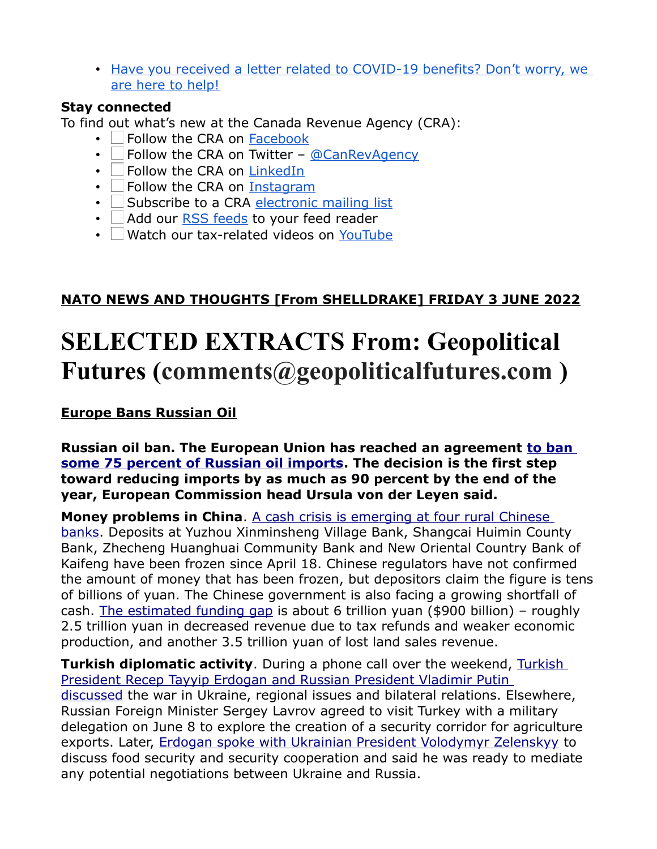• [Have you received a letter related to COVID-19 benefits? Don't worry, we](https://can01.safelinks.protection.outlook.com/?url=https%3A%2F%2Fwww.canada.ca%2Fen%2Frevenue-agency%2Fnews%2Fnewsroom%2Ftax-tips%2Ftax-tips-2022%2Fhave-you-received-letter-related-covid-19-benefits-dont-worry-are-here-help.html%3Futm_source%3Dstkhldrs%26utm_medium%3Deml%26utm_campaign%3Dstkhldrnfrmtnsssnsncndmrgncyrspnsbnftrpymntlttrs&data=05%7C01%7Csylvie.thibodeau-sealy@veterans.gc.ca%7C00e8778371cf4e454c8708da43ed4cd0%7Cdfb1c2a23b9c46218c57576c528bfe74%7C0%7C0%7C637896983719500180%7CUnknown%7CTWFpbGZsb3d8eyJWIjoiMC4wLjAwMDAiLCJQIjoiV2luMzIiLCJBTiI6Ik1haWwiLCJXVCI6Mn0%3D%7C3000%7C%7C%7C&sdata=T6QgMqnfwLkQlLF6hMSCXqhai%2FzEbDTyyOhKjBPPp9g%3D&reserved=0)  [are here to help!](https://can01.safelinks.protection.outlook.com/?url=https%3A%2F%2Fwww.canada.ca%2Fen%2Frevenue-agency%2Fnews%2Fnewsroom%2Ftax-tips%2Ftax-tips-2022%2Fhave-you-received-letter-related-covid-19-benefits-dont-worry-are-here-help.html%3Futm_source%3Dstkhldrs%26utm_medium%3Deml%26utm_campaign%3Dstkhldrnfrmtnsssnsncndmrgncyrspnsbnftrpymntlttrs&data=05%7C01%7Csylvie.thibodeau-sealy@veterans.gc.ca%7C00e8778371cf4e454c8708da43ed4cd0%7Cdfb1c2a23b9c46218c57576c528bfe74%7C0%7C0%7C637896983719500180%7CUnknown%7CTWFpbGZsb3d8eyJWIjoiMC4wLjAwMDAiLCJQIjoiV2luMzIiLCJBTiI6Ik1haWwiLCJXVCI6Mn0%3D%7C3000%7C%7C%7C&sdata=T6QgMqnfwLkQlLF6hMSCXqhai%2FzEbDTyyOhKjBPPp9g%3D&reserved=0)

#### **Stay connected**

To find out what's new at the Canada Revenue Agency (CRA):

- Follow the CRA on [Facebook](https://can01.safelinks.protection.outlook.com/?url=https%3A%2F%2Fwww.facebook.com%2Fcanrevagency%2F&data=05%7C01%7Csylvie.thibodeau-sealy@veterans.gc.ca%7C00e8778371cf4e454c8708da43ed4cd0%7Cdfb1c2a23b9c46218c57576c528bfe74%7C0%7C0%7C637896983719500180%7CUnknown%7CTWFpbGZsb3d8eyJWIjoiMC4wLjAwMDAiLCJQIjoiV2luMzIiLCJBTiI6Ik1haWwiLCJXVCI6Mn0%3D%7C3000%7C%7C%7C&sdata=CR7BDgpoAuPI1qbmnQV0ERd1lzIjsa4P3TR70aXaNos%3D&reserved=0)
- $\Box$  Follow the CRA on Twitter [@CanRevAgency](https://can01.safelinks.protection.outlook.com/?url=http%3A%2F%2Fwww.twitter.com%2FCanRevAgency&data=05%7C01%7Csylvie.thibodeau-sealy@veterans.gc.ca%7C00e8778371cf4e454c8708da43ed4cd0%7Cdfb1c2a23b9c46218c57576c528bfe74%7C0%7C0%7C637896983719500180%7CUnknown%7CTWFpbGZsb3d8eyJWIjoiMC4wLjAwMDAiLCJQIjoiV2luMzIiLCJBTiI6Ik1haWwiLCJXVCI6Mn0%3D%7C3000%7C%7C%7C&sdata=dELtBppdpq%2BfM5gJBGCYjAV10y%2B2Sh84XqRTI1TEky8%3D&reserved=0)
- $\cdot$   $\Box$  Follow the CRA on [LinkedIn](https://can01.safelinks.protection.outlook.com/?url=https%3A%2F%2Fwww.linkedin.com%2Fcompany%2Fcra-arc&data=05%7C01%7Csylvie.thibodeau-sealy@veterans.gc.ca%7C00e8778371cf4e454c8708da43ed4cd0%7Cdfb1c2a23b9c46218c57576c528bfe74%7C0%7C0%7C637896983719500180%7CUnknown%7CTWFpbGZsb3d8eyJWIjoiMC4wLjAwMDAiLCJQIjoiV2luMzIiLCJBTiI6Ik1haWwiLCJXVCI6Mn0%3D%7C3000%7C%7C%7C&sdata=TgsPQXnmH7%2F6LpzBoz6CW7JK%2B0heQXyWPUOZyrgaiIQ%3D&reserved=0)
- $\cdot$  Follow the CRA on [Instagram](https://can01.safelinks.protection.outlook.com/?url=https%3A%2F%2Finstagram.com%2Fcanrevagency&data=05%7C01%7Csylvie.thibodeau-sealy@veterans.gc.ca%7C00e8778371cf4e454c8708da43ed4cd0%7Cdfb1c2a23b9c46218c57576c528bfe74%7C0%7C0%7C637896983719500180%7CUnknown%7CTWFpbGZsb3d8eyJWIjoiMC4wLjAwMDAiLCJQIjoiV2luMzIiLCJBTiI6Ik1haWwiLCJXVCI6Mn0%3D%7C3000%7C%7C%7C&sdata=Wzh%2FLulSI8%2FzdT%2F3%2FN3pJ5fEVcuvAx089aEP9M1mOGc%3D&reserved=0)
- $\cdot$  Subscribe to a CRA [electronic mailing list](http://www.cra-arc.gc.ca/esrvc-srvce/mllst/sbscrb-eng.html)
- $\cdot$   $\Box$  Add our [RSS feeds](http://www.cra-arc.gc.ca/esrvc-srvce/rss/menu-eng.html) to your feed reader
- Watch our tax-related videos on [YouTube](https://can01.safelinks.protection.outlook.com/?url=http%3A%2F%2Fwww.youtube.com%2FCanRevAgency&data=05%7C01%7Csylvie.thibodeau-sealy@veterans.gc.ca%7C00e8778371cf4e454c8708da43ed4cd0%7Cdfb1c2a23b9c46218c57576c528bfe74%7C0%7C0%7C637896983719500180%7CUnknown%7CTWFpbGZsb3d8eyJWIjoiMC4wLjAwMDAiLCJQIjoiV2luMzIiLCJBTiI6Ik1haWwiLCJXVCI6Mn0%3D%7C3000%7C%7C%7C&sdata=UHsO6GVISMPCZed9%2BsNPeMgN2cE7jCvq5f%2B%2Fa1Vj0h8%3D&reserved=0)

# **NATO NEWS AND THOUGHTS [From SHELLDRAKE] FRIDAY 3 JUNE 2022**

# **SELECTED EXTRACTS From: Geopolitical Futures (comments@geopoliticalfutures.com )**

#### **[Europe Bans Russian Oil](https://geopoliticalfutures.com/mailster/314550/8f7083d1226c6fc4572ce12595b6890a/aHR0cHM6Ly9nZW9wb2xpdGljYWxmdXR1cmVzLmNvbS9kYWlseS1tZW1vLWV1cm9wZS1iYW5zLXJ1c3NpYW4tb2lsLz90cGE9Tm1FM01XTTNPREE0Wm1SaU1tVTFNalUxWVRGaU1ERTJOVFEzT0RnNU1qVTVPVEZrTkRj/1)**

#### **Russian oil ban. The European Union has reached an agreement [to ban](https://geopoliticalfutures.com/mailster/314550/8f7083d1226c6fc4572ce12595b6890a/aHR0cHM6Ly93d3cudGhlZ3VhcmRpYW4uY29tL3dvcmxkLzIwMjIvbWF5LzMwL2V1LW5lYXJzLWNvbXByb21pc2UtYWdyZWVtZW50LWZvci1wYXJ0aWFsLWJhbi1vbi1ydXNzaWFuLW9pbA)  [some 75 percent of Russian oil imports.](https://geopoliticalfutures.com/mailster/314550/8f7083d1226c6fc4572ce12595b6890a/aHR0cHM6Ly93d3cudGhlZ3VhcmRpYW4uY29tL3dvcmxkLzIwMjIvbWF5LzMwL2V1LW5lYXJzLWNvbXByb21pc2UtYWdyZWVtZW50LWZvci1wYXJ0aWFsLWJhbi1vbi1ydXNzaWFuLW9pbA) The decision is the first step toward reducing imports by as much as 90 percent by the end of the year, European Commission head Ursula von der Leyen said.**

**Money problems in China.** A cash crisis is emerging at four rural Chinese [banks.](https://geopoliticalfutures.com/mailster/314550/8f7083d1226c6fc4572ce12595b6890a/aHR0cHM6Ly93d3cuc2NtcC5jb20vZWNvbm9teS9jaGluYS1lY29ub215L2FydGljbGUvMzE3OTczMC9jYXNoLWNyaXNpcy1hbWlkLWNoaW5hcy1zdGFsbGluZy1lY29ub215LXJ1cmFsLWJhbmtzLWZyZWV6ZT9tb2R1bGU9bGVhZF9oZXJvX3N0b3J5JmFtcDtwZ3R5cGU9aG9tZXBhZ2U) Deposits at Yuzhou Xinminsheng Village Bank, Shangcai Huimin County Bank, Zhecheng Huanghuai Community Bank and New Oriental Country Bank of Kaifeng have been frozen since April 18. Chinese regulators have not confirmed the amount of money that has been frozen, but depositors claim the figure is tens of billions of yuan. The Chinese government is also facing a growing shortfall of cash. [The estimated funding gap](https://geopoliticalfutures.com/mailster/314550/8f7083d1226c6fc4572ce12595b6890a/aHR0cHM6Ly93d3cuY25iYy5jb20vMjAyMi8wNS8zMS9jaGluYS1mYWNlcy1hLW5lYXJseS0xLXRyaWxsaW9uLWZ1bmRpbmctZ2FwLWl0LXdpbGwtbmVlZC1tb3JlLWRlYnQtdG8tZmlsbC1pdC5odG1s) is about 6 trillion yuan (\$900 billion) – roughly 2.5 trillion yuan in decreased revenue due to tax refunds and weaker economic production, and another 3.5 trillion yuan of lost land sales revenue.

**[Turkish](https://geopoliticalfutures.com/mailster/314550/8f7083d1226c6fc4572ce12595b6890a/aHR0cHM6Ly93d3cuaW50ZXJmYXgucnUvd29ybGQvODQzNjk2) diplomatic activity**. During a phone call over the weekend, Turkish [President Recep Tayyip Erdogan and Russian President Vladimir Putin](https://geopoliticalfutures.com/mailster/314550/8f7083d1226c6fc4572ce12595b6890a/aHR0cHM6Ly93d3cuaW50ZXJmYXgucnUvd29ybGQvODQzNjk2)  [discussed](https://geopoliticalfutures.com/mailster/314550/8f7083d1226c6fc4572ce12595b6890a/aHR0cHM6Ly93d3cuaW50ZXJmYXgucnUvd29ybGQvODQzNjk2) the war in Ukraine, regional issues and bilateral relations. Elsewhere, Russian Foreign Minister Sergey Lavrov agreed to visit Turkey with a military delegation on June 8 to explore the creation of a security corridor for agriculture exports. Later, [Erdogan spoke with Ukrainian President Volodymyr Zelenskyy](https://geopoliticalfutures.com/mailster/314550/8f7083d1226c6fc4572ce12595b6890a/aHR0cHM6Ly93d3cudWtyaW5mb3JtLm5ldC9ydWJyaWMtcG9seXRpY3MvMzQ5NjA3OC16ZWxlbnNreS1lcmRvZ2FuLWRpc2N1c3MtZm9vZC1zZWN1cml0eS1hbmQtcGVhY2UtcmVzdG9yYXRpb24uaHRtbA) to discuss food security and security cooperation and said he was ready to mediate any potential negotiations between Ukraine and Russia.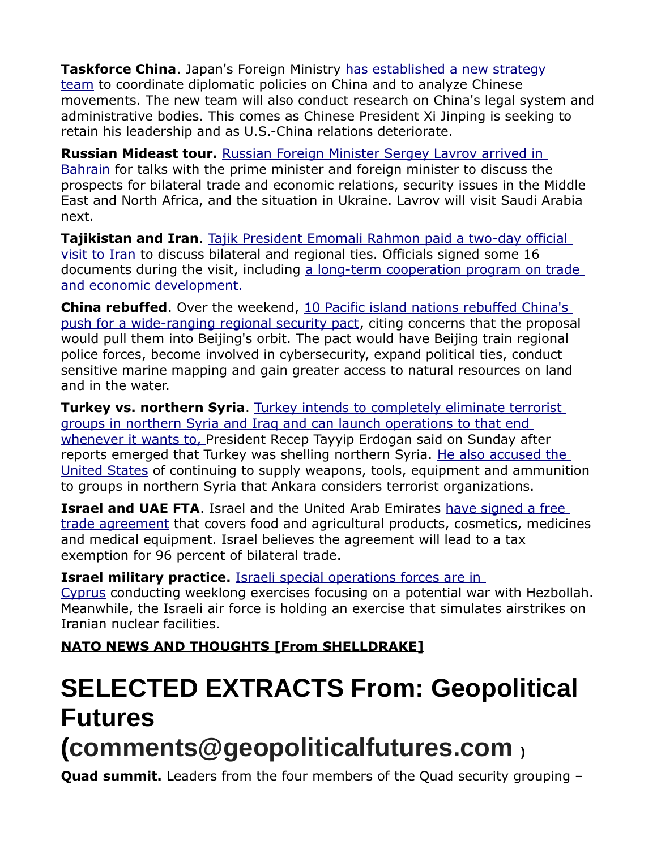**Taskforce China**. Japan's Foreign Ministry [has established a new strategy](https://geopoliticalfutures.com/mailster/314550/8f7083d1226c6fc4572ce12595b6890a/aHR0cHM6Ly9lbmdsaXNoLmt5b2RvbmV3cy5uZXQvbmV3cy8yMDIyLzA1L2ExMmZhNWFjMDJlOS1qYXBhbi1sYXVuY2hlcy1uZXctc3RyYXRlZ3ktdGVhbS1mb3ItbG9uZ2VyLXRlcm0tY2hpbmEtZGlwbG9tYWN5Lmh0bWw)  [team](https://geopoliticalfutures.com/mailster/314550/8f7083d1226c6fc4572ce12595b6890a/aHR0cHM6Ly9lbmdsaXNoLmt5b2RvbmV3cy5uZXQvbmV3cy8yMDIyLzA1L2ExMmZhNWFjMDJlOS1qYXBhbi1sYXVuY2hlcy1uZXctc3RyYXRlZ3ktdGVhbS1mb3ItbG9uZ2VyLXRlcm0tY2hpbmEtZGlwbG9tYWN5Lmh0bWw) to coordinate diplomatic policies on China and to analyze Chinese movements. The new team will also conduct research on China's legal system and administrative bodies. This comes as Chinese President Xi Jinping is seeking to retain his leadership and as U.S.-China relations deteriorate.

**Russian Mideast tour.** [Russian Foreign Minister Sergey Lavrov arrived in](https://geopoliticalfutures.com/mailster/314550/8f7083d1226c6fc4572ce12595b6890a/aHR0cHM6Ly90YXNzLnJ1L3BvbGl0aWthLzE0Nzc0Mjk1)  [Bahrain](https://geopoliticalfutures.com/mailster/314550/8f7083d1226c6fc4572ce12595b6890a/aHR0cHM6Ly90YXNzLnJ1L3BvbGl0aWthLzE0Nzc0Mjk1) for talks with the prime minister and foreign minister to discuss the prospects for bilateral trade and economic relations, security issues in the Middle East and North Africa, and the situation in Ukraine. Lavrov will visit Saudi Arabia next.

**Tajikistan and Iran**. [Tajik President Emomali Rahmon paid a two-day official](https://geopoliticalfutures.com/mailster/314550/8f7083d1226c6fc4572ce12595b6890a/aHR0cHM6Ly9hc2lhcGx1c3RqLmluZm8vcnUvbmV3cy90YWppa2lzdGFuL3BvbGl0aWNzLzIwMjIwNTMxL2Vtb21hbGktcmFobW9uLXByb3ZlbC12LXRlZ2VyYW5lLXBlcmVnb3Zvcmktcy1saWRlcm9tLWlzbGFtc2tvaS1yZXZvbHl1dHNpaS1pcmFuYQ)  [visit to Iran](https://geopoliticalfutures.com/mailster/314550/8f7083d1226c6fc4572ce12595b6890a/aHR0cHM6Ly9hc2lhcGx1c3RqLmluZm8vcnUvbmV3cy90YWppa2lzdGFuL3BvbGl0aWNzLzIwMjIwNTMxL2Vtb21hbGktcmFobW9uLXByb3ZlbC12LXRlZ2VyYW5lLXBlcmVnb3Zvcmktcy1saWRlcm9tLWlzbGFtc2tvaS1yZXZvbHl1dHNpaS1pcmFuYQ) to discuss bilateral and regional ties. Officials signed some 16 documents during the visit, including a long-term cooperation program on trade [and economic development.](https://geopoliticalfutures.com/mailster/314550/8f7083d1226c6fc4572ce12595b6890a/aHR0cHM6Ly9hc2lhcGx1c3RqLmluZm8vbmV3cy90YWppa2lzdGFuL3BvbGl0aWNzLzIwMjIwNTMwL3RhZHpoaWtpc3Rhbi1pLWlyYW4tcG9kcGlzYWxpLTE2LWRva3VtZW50b3Ytby1zb3RydWRuaWNoZXN0dmU)

**China rebuffed**. Over the weekend, [10 Pacific island nations rebuffed China's](https://geopoliticalfutures.com/mailster/314550/8f7083d1226c6fc4572ce12595b6890a/aHR0cHM6Ly93d3cuY2hhbm5lbG5ld3Nhc2lhLmNvbS93b3JsZC9wYWNpZmljLW5hdGlvbnMtcmVqZWN0LWNoaW5hLXNlY3VyaXR5LXBhY3QtMjcxNTM4Ng)  [push for a wide-ranging regional security pact,](https://geopoliticalfutures.com/mailster/314550/8f7083d1226c6fc4572ce12595b6890a/aHR0cHM6Ly93d3cuY2hhbm5lbG5ld3Nhc2lhLmNvbS93b3JsZC9wYWNpZmljLW5hdGlvbnMtcmVqZWN0LWNoaW5hLXNlY3VyaXR5LXBhY3QtMjcxNTM4Ng) citing concerns that the proposal would pull them into Beijing's orbit. The pact would have Beijing train regional police forces, become involved in cybersecurity, expand political ties, conduct sensitive marine mapping and gain greater access to natural resources on land and in the water.

**Turkey vs. northern Syria**. [Turkey intends to completely eliminate terrorist](https://geopoliticalfutures.com/mailster/314550/8f7083d1226c6fc4572ce12595b6890a/aHR0cHM6Ly9lbmdsaXNoLmFsYXJhYml5YS5uZXQvTmV3cy9taWRkbGUtZWFzdC8yMDIyLzA1LzI5L1R1cmtleS1zLVN5cmlhLW9wZXJhdGlvbi1hZ2FpbnN0LUt1cmRpc2gtZm9yY2VzLWNvdWxkLWhhcHBlbi1zdWRkZW5seS0)  [groups in northern Syria and Iraq and can launch operations to that end](https://geopoliticalfutures.com/mailster/314550/8f7083d1226c6fc4572ce12595b6890a/aHR0cHM6Ly9lbmdsaXNoLmFsYXJhYml5YS5uZXQvTmV3cy9taWRkbGUtZWFzdC8yMDIyLzA1LzI5L1R1cmtleS1zLVN5cmlhLW9wZXJhdGlvbi1hZ2FpbnN0LUt1cmRpc2gtZm9yY2VzLWNvdWxkLWhhcHBlbi1zdWRkZW5seS0)   [whenever it wants to,](https://geopoliticalfutures.com/mailster/314550/8f7083d1226c6fc4572ce12595b6890a/aHR0cHM6Ly9lbmdsaXNoLmFsYXJhYml5YS5uZXQvTmV3cy9taWRkbGUtZWFzdC8yMDIyLzA1LzI5L1R1cmtleS1zLVN5cmlhLW9wZXJhdGlvbi1hZ2FpbnN0LUt1cmRpc2gtZm9yY2VzLWNvdWxkLWhhcHBlbi1zdWRkZW5seS0) President Recep Tayyip Erdogan said on Sunday after reports emerged that Turkey was shelling northern Syria. [He also accused the](https://geopoliticalfutures.com/mailster/314550/8f7083d1226c6fc4572ce12595b6890a/aHR0cHM6Ly93d3cuaHVycml5ZXRkYWlseW5ld3MuY29tL2NvdW50cmllcy1iYWNraW5nLXRlcnJvci1ncm91cHMtd29udC1iZS1pbi1uYXRvLWVyZG9nYW4tMTc0MTY1)  [United States](https://geopoliticalfutures.com/mailster/314550/8f7083d1226c6fc4572ce12595b6890a/aHR0cHM6Ly93d3cuaHVycml5ZXRkYWlseW5ld3MuY29tL2NvdW50cmllcy1iYWNraW5nLXRlcnJvci1ncm91cHMtd29udC1iZS1pbi1uYXRvLWVyZG9nYW4tMTc0MTY1) of continuing to supply weapons, tools, equipment and ammunition to groups in northern Syria that Ankara considers terrorist organizations.

**Israel and UAE FTA**. Israel and the United Arab Emirates [have signed a free](https://geopoliticalfutures.com/mailster/314550/8f7083d1226c6fc4572ce12595b6890a/aHR0cHM6Ly93d3cuZ292LmlsL2hlL2RlcGFydG1lbnRzL25ld3MvZWNvbm9teS1uZXdzLTMwMDUyMi11YWU)  [trade agreement](https://geopoliticalfutures.com/mailster/314550/8f7083d1226c6fc4572ce12595b6890a/aHR0cHM6Ly93d3cuZ292LmlsL2hlL2RlcGFydG1lbnRzL25ld3MvZWNvbm9teS1uZXdzLTMwMDUyMi11YWU) that covers food and agricultural products, cosmetics, medicines and medical equipment. Israel believes the agreement will lead to a tax exemption for 96 percent of bilateral trade.

#### **Israel military practice.** [Israeli special operations forces are in](https://geopoliticalfutures.com/mailster/314550/8f7083d1226c6fc4572ce12595b6890a/aHR0cHM6Ly93d3cuaWRmLmlsLzYzNzY5Lw)

[Cyprus](https://geopoliticalfutures.com/mailster/314550/8f7083d1226c6fc4572ce12595b6890a/aHR0cHM6Ly93d3cuaWRmLmlsLzYzNzY5Lw) conducting weeklong exercises focusing on a potential war with Hezbollah. Meanwhile, the Israeli air force is holding an exercise that simulates airstrikes on Iranian nuclear facilities.

**NATO NEWS AND THOUGHTS [From SHELLDRAKE]**

# **SELECTED EXTRACTS From: Geopolitical Futures (comments@geopoliticalfutures.com )**

**Quad summit.** Leaders from the four members of the Quad security grouping –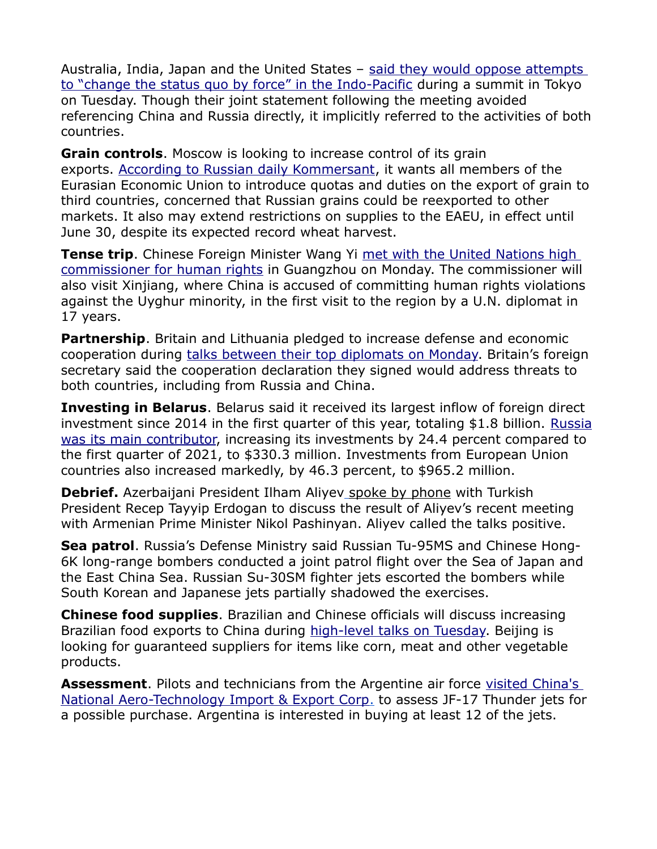Australia, India, Japan and the United States - said they would oppose attempts [to "change the status quo by force" in the Indo-Pacific](https://geopoliticalfutures.com/mailster/314142/8f7083d1226c6fc4572ce12595b6890a/aHR0cHM6Ly93d3cuc2NtcC5jb20vd2Vlay1hc2lhL3BvbGl0aWNzL2FydGljbGUvMzE3ODg5OC9xdWFkLWxlYWRlcnMtdGFsay1tYXJpdGltZS1tb25pdG9yaW5nLWNsaW1hdGUtZmlnaHQtdGhleS1tZWV0P21vZHVsZT1sZWFkX2hlcm9fc3RvcnkmYW1wO3BndHlwZT1ob21lcGFnZQ) during a summit in Tokyo on Tuesday. Though their joint statement following the meeting avoided referencing China and Russia directly, it implicitly referred to the activities of both countries.

**Grain controls**. Moscow is looking to increase control of its grain exports. [According to Russian daily Kommersant,](https://geopoliticalfutures.com/mailster/314142/8f7083d1226c6fc4572ce12595b6890a/aHR0cHM6Ly93d3cua29tbWVyc2FudC5ydS9kb2MvNTM1ODgxOA) it wants all members of the Eurasian Economic Union to introduce quotas and duties on the export of grain to third countries, concerned that Russian grains could be reexported to other markets. It also may extend restrictions on supplies to the EAEU, in effect until June 30, despite its expected record wheat harvest.

**Tense trip**. Chinese Foreign Minister Wang Yi met with the United Nations high [commissioner for human rights](https://geopoliticalfutures.com/mailster/314142/8f7083d1226c6fc4572ce12595b6890a/aHR0cHM6Ly9lbmdsaXNoLm5ld3MuY24vMjAyMjA1MjQvZjYxNmM0ZmM2M2YwNDU5ZWEzZDVhZjQ4NTk2MDlkMWEvYy5odG1s) in Guangzhou on Monday. The commissioner will also visit Xinjiang, where China is accused of committing human rights violations against the Uyghur minority, in the first visit to the region by a U.N. diplomat in 17 years.

**Partnership**. Britain and Lithuania pledged to increase defense and economic cooperation during [talks between their top diplomats on Monday.](https://geopoliticalfutures.com/mailster/314142/8f7083d1226c6fc4572ce12595b6890a/aHR0cHM6Ly93d3cuZ292LnVrL2dvdmVybm1lbnQvbmV3cy91ay1hbmQtbGl0aHVhbmlhLWNvbW1pdC10by1jbG9zZXItY29sbGFib3JhdGlvbi10by10YWNrbGUtbWFsaWduLXJlZ2ltZXM) Britain's foreign secretary said the cooperation declaration they signed would address threats to both countries, including from Russia and China.

**Investing in Belarus**. Belarus said it received its largest inflow of foreign direct investment since 2014 in the first quarter of this year, totaling \$1.8 billion. [Russia](https://geopoliticalfutures.com/mailster/314142/8f7083d1226c6fc4572ce12595b6890a/aHR0cHM6Ly9iZWxtYXJrZXQuYnkvbmV3cy9uZXdzLTUxMDk0Lmh0bWw) [was its main contributor,](https://geopoliticalfutures.com/mailster/314142/8f7083d1226c6fc4572ce12595b6890a/aHR0cHM6Ly9iZWxtYXJrZXQuYnkvbmV3cy9uZXdzLTUxMDk0Lmh0bWw) increasing its investments by 24.4 percent compared to the first quarter of 2021, to \$330.3 million. Investments from European Union countries also increased markedly, by 46.3 percent, to \$965.2 million.

**Debrief.** Azerbaijani President Ilham Aliyev [spoke by phone](https://geopoliticalfutures.com/mailster/314142/8f7083d1226c6fc4572ce12595b6890a/aHR0cHM6Ly9uZXdzLmFtL2VuZy9uZXdzLzcwMzUwMC5odG1sPw) with Turkish President Recep Tayyip Erdogan to discuss the result of Aliyev's recent meeting with Armenian Prime Minister Nikol Pashinyan. Aliyev called the talks positive.

**Sea patrol**. Russia's Defense Ministry said Russian Tu-95MS and Chinese Hong-6K long-range bombers conducted a joint patrol flight over the Sea of Japan and the East China Sea. Russian Su-30SM fighter jets escorted the bombers while South Korean and Japanese jets partially shadowed the exercises.

**Chinese food supplies**. Brazilian and Chinese officials will discuss increasing Brazilian food exports to China during [high-level talks on Tuesday.](https://geopoliticalfutures.com/mailster/314142/8f7083d1226c6fc4572ce12595b6890a/aHR0cHM6Ly92YWxvci5nbG9iby5jb20vYnJhc2lsL25vdGljaWEvMjAyMi8wNS8yMy9icmFzaWwtZS1jaGluYS1kaXNjdXRlbS1jb21lcmNpby1kZS1hbGltZW50b3MuZ2h0bWw) Beijing is looking for guaranteed suppliers for items like corn, meat and other vegetable products.

**Assessment**. Pilots and technicians from the Argentine air force visited China's National Aero-Technology Import & Export Corp. to assess JF-17 Thunder jets for a possible purchase. Argentina is interested in buying at least 12 of the jets.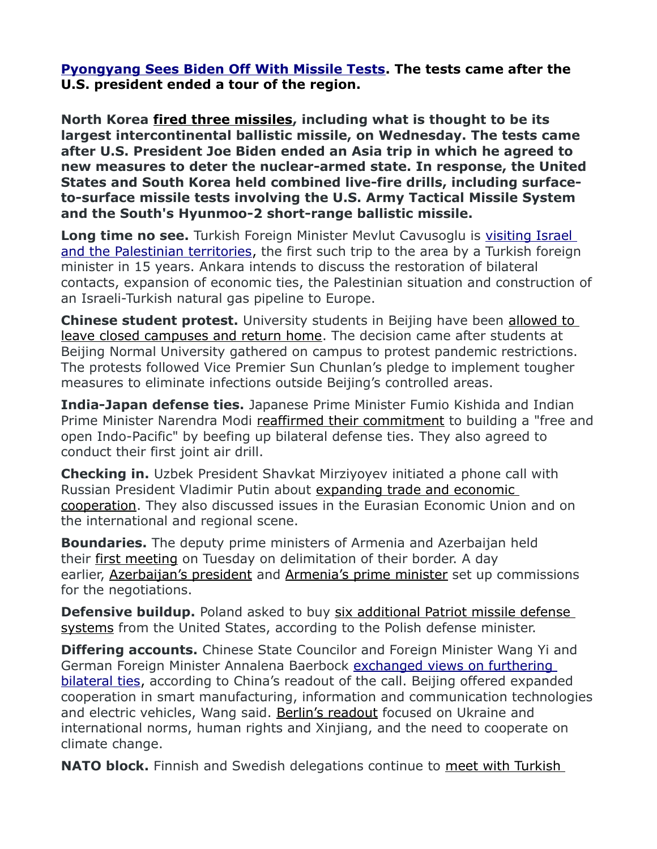**[Pyongyang Sees Biden Off With Missile Tests.](https://geopoliticalfutures.com/mailster/314220/8f7083d1226c6fc4572ce12595b6890a/aHR0cHM6Ly9nZW9wb2xpdGljYWxmdXR1cmVzLmNvbS9kYWlseS1tZW1vLXB5b25neWFuZy1zZWVzLWJpZGVuLW9mZi13aXRoLW1pc3NpbGUtdGVzdHMvP3RwYT1aak5sWlRVMU1EazBZV0ZqT0RFeU5qaGhZams0WVRFMk5UUXhPRFF4TWpNMFltRTVNVGM/1) The tests came after the U.S. president ended a tour of the region.**

**North Korea [fired three missiles,](https://geopoliticalfutures.com/mailster/314220/8f7083d1226c6fc4572ce12595b6890a/aHR0cHM6Ly93d3cuY2JjLmNhL25ld3Mvd29ybGQvbm9ydGgta29yZWEtaWNibS0xLjY0NjQ3OTM) including what is thought to be its largest intercontinental ballistic missile, on Wednesday. The tests came after U.S. President Joe Biden ended an Asia trip in which he agreed to new measures to deter the nuclear-armed state. In response, the United States and South Korea held combined live-fire drills, including surfaceto-surface missile tests involving the U.S. Army Tactical Missile System and the South's Hyunmoo-2 short-range ballistic missile.**

**Long time no see.** Turkish Foreign Minister Mevlut Cavusoglu is visiting Israel [and the Palestinian territories,](https://geopoliticalfutures.com/mailster/314220/8f7083d1226c6fc4572ce12595b6890a/aHR0cHM6Ly9lbmdsaXNoLmFsYXJhYml5YS5uZXQvTmV3cy9taWRkbGUtZWFzdC8yMDIyLzA1LzI1L0lzcmFlbC1hbmQtVHVya2V5LW9wZW5pbmctbmV3LWNoYXB0ZXItaW4tcmVsYXRpb25zLUlzcmFlbC1GTQ) the first such trip to the area by a Turkish foreign minister in 15 years. Ankara intends to discuss the restoration of bilateral contacts, expansion of economic ties, the Palestinian situation and construction of an Israeli-Turkish natural gas pipeline to Europe.

**Chinese student protest.** University students in Beijing have been [allowed to](https://geopoliticalfutures.com/mailster/314220/8f7083d1226c6fc4572ce12595b6890a/aHR0cHM6Ly93d3cuc2NtcC5jb20vbmV3cy9jaGluYS9wb2xpdGljcy9hcnRpY2xlLzMxNzkwODYvemVyby1jb3ZpZC1jbGFtcGRvd24tc3BhcmtzLXN0dWRlbnQtZGlzY29udGVudC1iZWlqaW5nLWNhbXB1cw)  [leave closed campuses and return home.](https://geopoliticalfutures.com/mailster/314220/8f7083d1226c6fc4572ce12595b6890a/aHR0cHM6Ly93d3cuc2NtcC5jb20vbmV3cy9jaGluYS9wb2xpdGljcy9hcnRpY2xlLzMxNzkwODYvemVyby1jb3ZpZC1jbGFtcGRvd24tc3BhcmtzLXN0dWRlbnQtZGlzY29udGVudC1iZWlqaW5nLWNhbXB1cw) The decision came after students at Beijing Normal University gathered on campus to protest pandemic restrictions. The protests followed Vice Premier Sun Chunlan's pledge to implement tougher measures to eliminate infections outside Beijing's controlled areas.

**India-Japan defense ties.** Japanese Prime Minister Fumio Kishida and Indian Prime Minister Narendra Modi [reaffirmed their commitment](https://geopoliticalfutures.com/mailster/314220/8f7083d1226c6fc4572ce12595b6890a/aHR0cHM6Ly9lbmdsaXNoLmt5b2RvbmV3cy5uZXQvbmV3cy8yMDIyLzA1LzlmZmNhNTAyZjY2Mi1raXNoaWRhLW1vZGktZm9jdXMtb24tcnVzc2lhcy13YXItaW4tdWtyYWluZS1hc3NlcnRpdmUtY2hpbmEuaHRtbA) to building a "free and open Indo-Pacific" by beefing up bilateral defense ties. They also agreed to conduct their first joint air drill.

**Checking in.** Uzbek President Shavkat Mirziyoyev initiated a phone call with Russian President Vladimir Putin about [expanding trade and economic](https://geopoliticalfutures.com/mailster/314220/8f7083d1226c6fc4572ce12595b6890a/aHR0cDovL2tyZW1saW4ucnUvZXZlbnRzL3ByZXNpZGVudC9uZXdzLzY4NDY5)  [cooperation.](https://geopoliticalfutures.com/mailster/314220/8f7083d1226c6fc4572ce12595b6890a/aHR0cDovL2tyZW1saW4ucnUvZXZlbnRzL3ByZXNpZGVudC9uZXdzLzY4NDY5) They also discussed issues in the Eurasian Economic Union and on the international and regional scene.

**Boundaries.** The deputy prime ministers of Armenia and Azerbaijan held their [first meeting](https://geopoliticalfutures.com/mailster/314220/8f7083d1226c6fc4572ce12595b6890a/aHR0cHM6Ly93d3cubWZhLmdvdi5hei9hei9uZXdzL25vMjUwMjI) on Tuesday on delimitation of their border. A day earlier, [Azerbaijan's president](https://geopoliticalfutures.com/mailster/314220/8f7083d1226c6fc4572ce12595b6890a/aHR0cHM6Ly9yZXBvcnQuYXoveGFyaWNpLXNpeWFzZXQvYXplcmJheWNhbi1lcm1lbmlzdGFuLWRvdmxldC1zZXJoZWRpbmluLWRlbGltaXRhc2l5YXNpLXV6cmUtZG92bGV0LWtvbWlzc2l5YXNpLXlhcmFkaWxpYi8) and [Armenia's prime minister](https://geopoliticalfutures.com/mailster/314220/8f7083d1226c6fc4572ce12595b6890a/aHR0cHM6Ly9hcm1lbnByZXNzLmFtL2FybS9uZXdzLzEwODM5NjguaHRtbA) set up commissions for the negotiations.

**Defensive buildup.** Poland asked to buy six additional Patriot missile defense [systems](https://geopoliticalfutures.com/mailster/314220/8f7083d1226c6fc4572ce12595b6890a/aHR0cHM6Ly93d3cuZGVmZW5zZW5ld3MuY29tL2dsb2JhbC9ldXJvcGUvMjAyMi8wNS8yNC9wb2xhbmQtcmVxdWVzdHMtc2l4LWFkZGl0aW9uYWwtcGF0cmlvdC1iYXR0ZXJpZXMtZnJvbS10aGUtdW5pdGVkLXN0YXRlcy8) from the United States, according to the Polish defense minister.

**Differing accounts.** Chinese State Councilor and Foreign Minister Wang Yi and German Foreign Minister Annalena Baerbock exchanged views on furthering [bilateral ties,](https://geopoliticalfutures.com/mailster/314220/8f7083d1226c6fc4572ce12595b6890a/aHR0cHM6Ly9lbmdsaXNoLm5ld3MuY24vMjAyMjA1MjUvM2YxMDhlMzQyYWZmNDgxYmIwMjMwMmY3ZWYwZTg4OWUvYy5odG1s) according to China's readout of the call. Beijing offered expanded cooperation in smart manufacturing, information and communication technologies and electric vehicles, Wang said. [Berlin's readout](https://geopoliticalfutures.com/mailster/314220/8f7083d1226c6fc4572ce12595b6890a/aHR0cHM6Ly93d3cuYXVzd2FlcnRpZ2VzLWFtdC5kZS9kZS9uZXdzcm9vbS9iYWVlcmJvY2std2FuZy15aS12dGMvMjUzMjU1Ng) focused on Ukraine and international norms, human rights and Xinjiang, and the need to cooperate on climate change.

**NATO block.** Finnish and Swedish delegations continue to [meet with Turkish](https://geopoliticalfutures.com/mailster/314220/8f7083d1226c6fc4572ce12595b6890a/aHR0cHM6Ly93d3cuZGFpbHlzYWJhaC5jb20vcG9saXRpY3MvZGlwbG9tYWN5L3N3ZWRpc2gtZmlubmlzaC1kZWxlZ2F0aW9ucy1pbi10dXJrZXktdG8tZGlzY3Vzcy1uYXRvLWJpZHM)